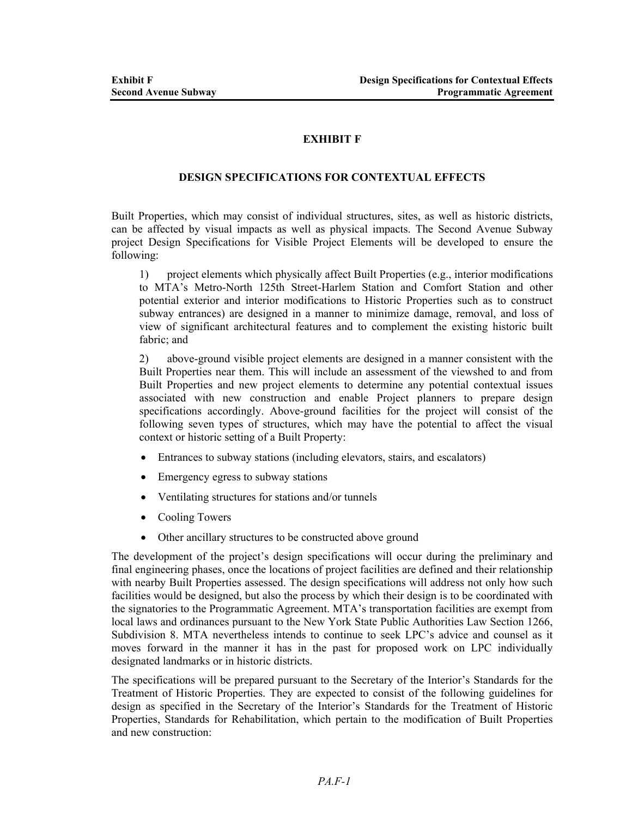## **EXHIBIT F**

## **DESIGN SPECIFICATIONS FOR CONTEXTUAL EFFECTS**

Built Properties, which may consist of individual structures, sites, as well as historic districts, can be affected by visual impacts as well as physical impacts. The Second Avenue Subway project Design Specifications for Visible Project Elements will be developed to ensure the following:

1) project elements which physically affect Built Properties (e.g., interior modifications to MTA's Metro-North 125th Street-Harlem Station and Comfort Station and other potential exterior and interior modifications to Historic Properties such as to construct subway entrances) are designed in a manner to minimize damage, removal, and loss of view of significant architectural features and to complement the existing historic built fabric; and

2) above-ground visible project elements are designed in a manner consistent with the Built Properties near them. This will include an assessment of the viewshed to and from Built Properties and new project elements to determine any potential contextual issues associated with new construction and enable Project planners to prepare design specifications accordingly. Above-ground facilities for the project will consist of the following seven types of structures, which may have the potential to affect the visual context or historic setting of a Built Property:

- Entrances to subway stations (including elevators, stairs, and escalators)
- Emergency egress to subway stations
- Ventilating structures for stations and/or tunnels
- Cooling Towers
- Other ancillary structures to be constructed above ground

The development of the project's design specifications will occur during the preliminary and final engineering phases, once the locations of project facilities are defined and their relationship with nearby Built Properties assessed. The design specifications will address not only how such facilities would be designed, but also the process by which their design is to be coordinated with the signatories to the Programmatic Agreement. MTA's transportation facilities are exempt from local laws and ordinances pursuant to the New York State Public Authorities Law Section 1266, Subdivision 8. MTA nevertheless intends to continue to seek LPC's advice and counsel as it moves forward in the manner it has in the past for proposed work on LPC individually designated landmarks or in historic districts.

The specifications will be prepared pursuant to the Secretary of the Interior's Standards for the Treatment of Historic Properties. They are expected to consist of the following guidelines for design as specified in the Secretary of the Interior's Standards for the Treatment of Historic Properties, Standards for Rehabilitation, which pertain to the modification of Built Properties and new construction: